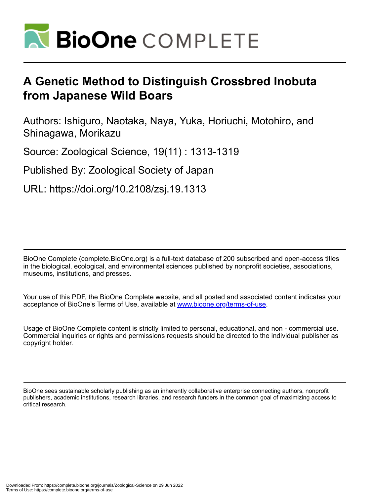

# **A Genetic Method to Distinguish Crossbred Inobuta from Japanese Wild Boars**

Authors: Ishiguro, Naotaka, Naya, Yuka, Horiuchi, Motohiro, and Shinagawa, Morikazu

Source: Zoological Science, 19(11) : 1313-1319

Published By: Zoological Society of Japan

URL: https://doi.org/10.2108/zsj.19.1313

BioOne Complete (complete.BioOne.org) is a full-text database of 200 subscribed and open-access titles in the biological, ecological, and environmental sciences published by nonprofit societies, associations, museums, institutions, and presses.

Your use of this PDF, the BioOne Complete website, and all posted and associated content indicates your acceptance of BioOne's Terms of Use, available at www.bioone.org/terms-of-use.

Usage of BioOne Complete content is strictly limited to personal, educational, and non - commercial use. Commercial inquiries or rights and permissions requests should be directed to the individual publisher as copyright holder.

BioOne sees sustainable scholarly publishing as an inherently collaborative enterprise connecting authors, nonprofit publishers, academic institutions, research libraries, and research funders in the common goal of maximizing access to critical research.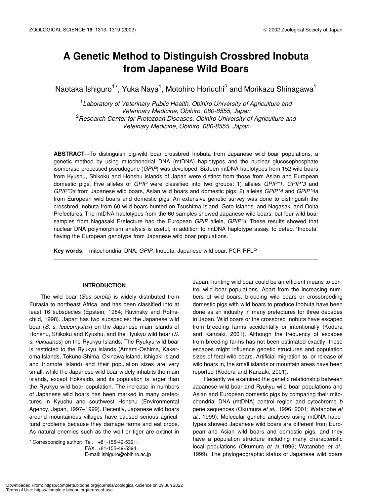# **A Genetic Method to Distinguish Crossbred Inobuta from Japanese Wild Boars**

Naotaka Ishiguro<sup>1\*</sup>, Yuka Naya<sup>1</sup>, Motohiro Horiuchi<sup>2</sup> and Morikazu Shinagawa<sup>1</sup>

<sup>1</sup> Laboratory of Veterinary Public Health, Obihiro University of Agriculture and *Veterinary Medicine, Obihiro, 080-8555, Japan* 2 *Research Center for Protozoan Diseases, Obihiro University of Agriculture and Veteinary Medicine, Obihiro, 080-8555, Japan*

**ABSTRACT**—To distinguish pig-wild boar crossbred Inobuta from Japanese wild boar populations, a genetic method by using mitochondrial DNA (mtDNA) haplotypes and the nuclear glucosephosphate isomerase-processed pseudogene (*GPIP*) was developed. Sixteen mtDNA haplotypes from 152 wild boars from Kyushu, Shikoku and Honshu islands of Japan were distinct from those from Asian and European domestic pigs. Five alleles of *GPIP* were classified into two groups: 1) alleles *GPIP\*1*, *GPIP\*3* and *GPIP\*3a* from Japanese wild boars, Asian wild boars and domestic pigs; 2) alleles *GPIP\*4* and *GPIP\*4a* from European wild boars and domestic pigs. An extensive genetic survey was done to distinguish the crossbred Inobuta from 60 wild boars hunted on Tsushima Island, Goto Islands, and Nagasaki and Ooita Prefectures. The mtDNA haplotypes from the 60 samples showed Japanese wild boars, but four wild boar samples from Nagasaki Prefecture had the European *GPIP* allele, *GPIP\*4*. These results showed that nuclear DNA polymorphism analysis is useful, in addition to mtDNA haplotype assay, to detect "Inobuta" having the European genotype from Japanese wild boar populations.

**Key words**: mitochondrial DNA, *GPIP*, Inobuta, Japanese wild boar, PCR-RFLP

#### **INTRODUCTION**

The wild boar (*Sus scrofa*) is widely distributed from Eurasia to northeast Africa, and has been classified into at least 16 subspecies (Epstein, 1984; Ruvinsky and Rothschild, 1998). Japan has two subspecies: the Japanese wild boar (*S. s. leucomystax*) on the Japanese main islands of Honshu, Shikoku and Kyushu, and the Ryukyu wild boar (*S. s. riukiuanus*) on the Ryukyu Islands. The Ryukyu wild boar is restricted to the Ryukyu Islands (Amami-Oshima, Kakeroma Islands, Tokuno-Shima, Okinawa Island, Ishigaki Island and Iriomote Island) and their population sizes are very small, while the Japanese wild boar widely inhabits the main islands, except Hokkaido, and its population is larger than the Ryukyu wild boar population. The increase in numbers of Japanese wild boars has been marked in many prefectures in Kyushu and southwest Honshu (Environmental Agency, Japan, 1997–1999). Recently, Japanese wild boars around mountainous villages have caused serious agricultural problems because they damage farms and eat crops. As natural enemies such as the wolf or tiger are extinct in

 $*$  Corresponding author: Tel.  $+81-155-49-5391$ ;

Japan, hunting wild boar could be an efficient means to control wild boar populations. Apart from the increasing numbers of wild boars, breeding wild boars or crossbreeding domestic pigs with wild boars to produce Inobuta have been done as an industry in many prefectures for three decades in Japan. Wild boars or the crossbred Inobuta have escaped from breeding farms accidentally or intentionally (Kodera and Kanzaki, 2001). Although the frequency of escapes from breeding farms has not been estimated exactly, these escapes might influence genetic structures and population sizes of feral wild boars. Artificial migration to, or release of wild boars in, the small islands or mountain areas have been reported (Kodera and Kanzaki, 2001).

Recently we examined the genetic relationship between Japanese wild boar and Ryukyu wild boar populations and Asian and European domestic pigs by comparing their mitochondrial DNA (mtDNA) control region and cytochrome *b* gene sequences (Okumura *et al.,* 1996; 2001; Watanobe *et al.,* 1999). Molecular genetic analyses using mtDNA hapotypes showed Japanese wild boars are different from European and Asian wild boars and domestic pigs, and they have a population structure including many characteristic local populations (Okumura *et al.,*1996; Watanobe *et al.,* 1999). The phylogeographic status of Japanese wild boars

FAX. +81-155-49-5394. E-mail: ishiguro@obihiro.ac.jp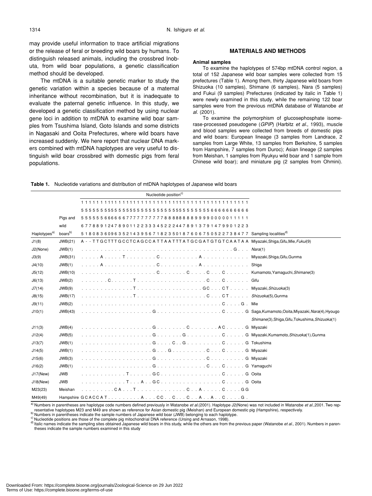may provide useful information to trace artificial migrations or the release of feral or breeding wild boars by humans. To distinguish released animals, including the crossbred Inobuta, from wild boar populations, a genetic classification method should be developed.

The mtDNA is a suitable genetic marker to study the genetic variation within a species because of a maternal inheritance without recombination, but it is inadequate to evaluate the paternal genetic influence. In this study, we developed a genetic classification method by using nuclear gene loci in addition to mtDNA to examine wild boar samples from Tsushima Island, Goto Islands and some districts in Nagasaki and Ooita Prefectures, where wild boars have increased suddenly. We here report that nuclear DNA markers combined with mtDNA haplotypes are very useful to distinguish wild boar crossbred with domestic pigs from feral populations.

#### **MATERIALS AND METHODS**

#### **Animal samples**

To examine the haplotypes of 574bp mtDNA control region, a total of 152 Japanese wild boar samples were collected from 15 prefectures (Table 1). Among them, thirty Japanese wild boars from Shizuoka (10 samples), Shimane (6 samples), Nara (5 samples) and Fukui (9 samples) Prefectures (indicated by italic in Table 1) were newly examined in this study, while the remaining 122 boar samples were from the previous mtDNA database of Watanobe *et al.* (2001).

To examine the polymorphism of glucosephosphate isomerase-processed pseudogene (*GPIP*) (Harbitz *et al.*, 1993), muscle and blood samples were collected from breeds of domestic pigs and wild boars: European lineage (3 samples from Landrace, 2 samples from Large White, 13 samples from Berkshire, 5 samples from Hampshire, 7 samples from Duroc); Asian lineage (2 samples from Meishan, 1 samples from Ryukyu wild boar and 1 sample from Chinese wild boar); and miniature pig (2 samples from Ohmini).

|                          |                     | Nucleotide position <sup>c)</sup>                                                                                         |                                                 |
|--------------------------|---------------------|---------------------------------------------------------------------------------------------------------------------------|-------------------------------------------------|
|                          |                     |                                                                                                                           |                                                 |
|                          |                     |                                                                                                                           |                                                 |
|                          | Pigs and            | 5555556666667777777778888888899990000011111                                                                               |                                                 |
|                          | wild                | 67788912478901122333452224478913791479901223                                                                              |                                                 |
| Haplotypes <sup>a)</sup> | boars <sup>b)</sup> | 5 1 8 0 8 3 6 0 9 6 3 5 2 1 4 3 9 5 6 7 1 8 2 3 5 0 1 8 7 6 0 6 7 5 0 5 2 2 7 3 8 4 7 7 Sampling localities <sup>d)</sup> |                                                 |
| J1(8)                    | JWB(21)             | A - - TTGCTTTGCCTCAGCCATTAATTTATGCGATGTGTCAATAA Miyazaki,Shiga,Gifu,Mie,Fukui(9)                                          |                                                 |
| J2(None)                 | JWB(1)              |                                                                                                                           |                                                 |
| J3(9)                    | JWB(31)             |                                                                                                                           | Miyazaki, Shiga, Gifu, Gunma                    |
| J4(10)                   | JWB(1)              |                                                                                                                           | Shiga                                           |
| J5(12)                   | JWB(10)             |                                                                                                                           |                                                 |
| J6(13)                   | JWB(2)              |                                                                                                                           |                                                 |
| J7(14)                   | JWB(9)              |                                                                                                                           |                                                 |
| J8(15)                   | JWB(17)             |                                                                                                                           |                                                 |
| J9(11)                   | JWB(2)              |                                                                                                                           |                                                 |
| J10(1)                   | JWB(43)             | G Saga, Kumamoto, Ooita, Miyazaki, <i>Nara</i> (4), Hyougo                                                                |                                                 |
|                          |                     |                                                                                                                           | Shimane(3), Shiga, Gifu, Tokushima, Shizuoka(1) |
| J11(3)                   | JWB(4)              |                                                                                                                           |                                                 |
| J12(4)                   | JWB(5)              |                                                                                                                           |                                                 |
| J13(7)                   | JWB(1)              |                                                                                                                           |                                                 |
| J14(5)                   | JWB(1)              |                                                                                                                           |                                                 |
| J15(6)                   | JWB(3)              |                                                                                                                           |                                                 |
| J16(2)                   | JWB(1)              |                                                                                                                           |                                                 |
| $J17$ (New)              | <b>JWB</b>          |                                                                                                                           |                                                 |
| J18(New)                 | <b>JWB</b>          |                                                                                                                           |                                                 |
| M23(23)                  | Meishan             |                                                                                                                           |                                                 |
| M49(49)                  |                     | Hampshire GCACCATACCCCAACG.                                                                                               |                                                 |

**Table 1.** Nucleotide variations and distribution of mtDNA haplotypes of Japanese wild boars

a) Numbers in parentheses are haplotype code numbers defined previously in Watanobe *et al.*(2001). Haplotype J2(None) was not included in Watanobe *et al.*,2001. Two rep-<br>resentative haplotypes M23 and M49 are shown as re

b) Numbers in parentheses indicate the sample numbers of Japanese wild boar (JWB) belonging to each haplotype.<br>
<sup>c)</sup> Nucleotide positions are those of the complete pig mitochondrial DNA reference (Ursing and Arnason, 1998) theses indicate the sample numbers examined in this study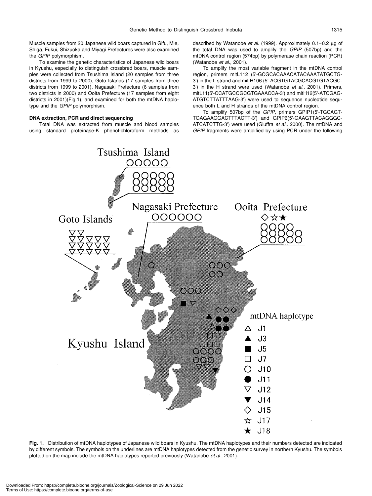Muscle samples from 20 Japanese wild boars captured in Gifu, Mie, Shiga, Fukui, Shizuoka and Miyagi Prefectures were also examined the *GPIP* polymorphism.

To examine the genetic characteristics of Japanese wild boars in Kyushu, especially to distinguish crossbred boars, muscle samples were collected from Tsushima Island (20 samples from three districts from 1999 to 2000), Goto Islands (17 samples from three districts from 1999 to 2001), Nagasaki Prefecture (6 samples from two districts in 2000) and Ooita Prefecture (17 samples from eight districts in 2001)(Fig.1), and examined for both the mtDNA haplotype and the *GPIP* polymorphism.

# **DNA extraction, PCR and direct sequencing**

Total DNA was extracted from muscle and blood samples using standard proteinase-K phenol-chloroform methods as described by Watanobe *et al.* (1999). Approximately 0.1~0.2 µg of the total DNA was used to amplify the *GPIP* (507bp) and the mtDNA control region (574bp) by polymerase chain reaction (PCR) (Watanobe *et al.,* 2001).

To amplify the most variable fragment in the mtDNA control region, primers mitL112 (5'-GCGCACAAACATACAAATATGCTG-3') in the L strand and mit H106 (5'-ACGTGTACGCACGTGTACGC-3') in the H strand were used (Watanobe *et al.*, 2001). Primers, mitL11(5'-CCATGCCGCGTGAAACCA-3') and mitH12(5'-ATCGAG-ATGTCTTATTTAAG-3') were used to sequence nucleotide sequence both L and H strands of the mtDNA control region.

To amplify 507bp of the *GPIP,* primers GPIP1(5'-TGCAGT-TGAGAAGGACTTTACTT-3') and GPIP6(5'-GAAGTTACAGGGC-ATCATCTTG-3') were used (Giuffra *et al.,* 2000). The mtDNA and *GPIP* fragments were amplified by using PCR under the following



**Fig. 1.** Distribution of mtDNA haplotypes of Japanese wild boars in Kyushu. The mtDNA haplotypes and their numbers detected are indicated by different symbols. The symbols on the underlines are mtDNA haplotypes detected from the genetic survey in northern Kyushu. The symbols plotted on the map include the mtDNA haplotypes reported previously (Watanobe *et al.*, 2001).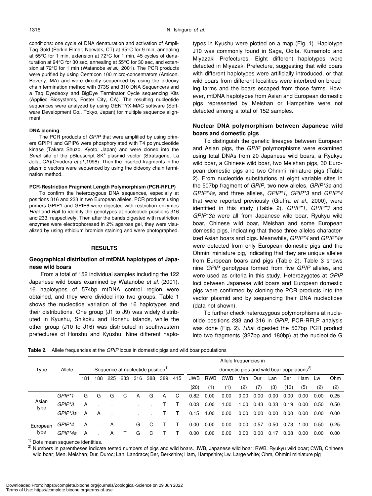conditions: one cycle of DNA denaturation and activation of Ampli-Taq Gold (Perkin Elmer, Norwalk, CT) at 95°C for 9 min, annealing at 55°C for 1 min, extension at 72°C for 1 min, 45 cycles of denaturation at 94°C for 30 sec, annealing at 55°C for 30 sec, and extension at 72°C for 1 min (Watanobe *et al.,* 2001). The PCR products were purified by using Centricon 100 micro-concentrators (Amicon, Beverly, MA) and were directly sequenced by using the dideoxy chain termination method with 373S and 310 DNA Sequencers and a Taq Dyedeoxy and BigDye Terminator Cycle sequencing Kits (Applied Biosystems, Foster City, CA). The resulting nucleotide sequences were analyzed by using GENTYX-MAC software (Software Development Co., Tokyo, Japan) for multiple sequence alignment.

#### **DNA cloning**

The PCR products of *GPIP* that were amplified by using primers GPIP1 and GPIP6 were phosphorylated with T4 polynucleotide kinase (Takara Shuzo, Kyoto, Japan) and were cloned into the *Smal* site of the pBluescript SK<sup>+</sup> plasmid vector (Stratagene, La Jolla, CA)(Onodera *et al.*,1998). Then the inserted fragments in the plasmid vectors were sequenced by using the dideoxy chain termination method.

#### **PCR-Restriction Fragment Length Polymorphism (PCR-RFLP)**

To confirm the heterozygous DNA sequences, especially at positions 316 and 233 in two European alleles, PCR products using primers GPIP1 and GPIP6 were digested with restriction enzymes *Hha*I and *Bgl*I to identify the genotypes at nucleotide positions 316 and 233, respectively. Then after the bands digested with restriction enzymes were electrophoresed in 2% agarose gel, they were visualized by using ethidium bromide staining and were photographed.

## **RESULTS**

# **Geographical distribution of mtDNA haplotypes of Japanese wild boars**

From a total of 152 individual samples including the 122 Japanese wild boars examined by Watanobe *et al.* (2001), 16 haplotypes of 574bp mtDNA control region were obtained, and they were divided into two groups. Table 1 shows the nucleotide variation of the 16 haplotypes and their distributions. One group (J1 to J9) was widely distributed in Kyushu, Shikoku and Honshu islands, while the other group (J10 to J16) was distributed in southwestern prefectures of Honshu and Kyushu. Nine different haplotypes in Kyushu were plotted on a map (Fig. 1). Haplotype J10 was commonly found in Saga, Ooita, Kumamoto and Miyazaki Prefectures. Eight different haplotypes were detected in Miyazaki Prefecture, suggesting that wild boars with different haplotypes were artificially introduced, or that wild boars from different localities were interbred on breeding farms and the boars escaped from those farms. However, mtDNA haplotypes from Asian and European domestic pigs represented by Meishan or Hampshire were not detected among a total of 152 samples.

# **Nuclear DNA polymorphism between Japanese wild boars and domestic pigs**

To distinguish the genetic lineages between European and Asian pigs, the *GPIP* polymorphisms were examined using total DNAs from 20 Japanese wild boars, a Ryukyu wild boar, a Chinese wild boar, two Meishan pigs, 30 European domestic pigs and two Ohmini miniature pigs (Table 2). From nucleotide substitutions at eight variable sites in the 507bp fragment of *GPIP*, two new alleles, *GPIP\*3a* and *GPIP\*4a*, and three alleles, *GPIP\*1, GPIP\*3* and *GPIP\*4* that were reported previously (Giuffra *et al.*, 2000), were identified in this study (Table 2). *GPIP\*1, GPIP\*3* and *GPIP\*3a* were all from Japanese wild boar, Ryukyu wild boar, Chinese wild boar, Meishan and some European domestic pigs, indicating that these three alleles characterized Asian boars and pigs. Meanwhile, *GPIP\*4* and *GPIP\*4a* were detected from only European domestic pigs and the Ohmini miniature pig, indicating that they are unique alleles from European boars and pigs (Table 2). Table 3 shows nine *GPIP* genotypes formed from five *GPIP* alleles, and were used as criteria in this study. Heterozygotes at *GPIP* loci between Japanese wild boars and European domestic pigs were confirmed by cloning the PCR products into the vector plasmid and by sequencing their DNA nucleotides (data not shown).

To further check heterozygous polymorphisms at nucleotide positions 233 and 316 in *GPIP*, PCR-RFLP analysis was done (Fig. 2). *Hha*I digested the 507bp PCR product into two fragments (327bp and 180bp) at the nucleotide G

**Table 2.** Allele frequencies at the *GPIP* locus in domestic pigs and wild boar populations

|                  | Allele frequencies in |                                               |     |     |     |     |     |     |                                                       |            |            |            |      |      |      |      |      |      |      |
|------------------|-----------------------|-----------------------------------------------|-----|-----|-----|-----|-----|-----|-------------------------------------------------------|------------|------------|------------|------|------|------|------|------|------|------|
| Type             | Allele                | Sequence at nucleotide position <sup>1)</sup> |     |     |     |     |     |     | domestic pigs and wild boar populations <sup>2)</sup> |            |            |            |      |      |      |      |      |      |      |
|                  |                       | 181                                           | 188 | 225 | 233 | 316 | 388 | 389 | 415                                                   | <b>JWB</b> | <b>RWB</b> | <b>CWB</b> | Men  | Dur  | Lan  | Ber  | Ham  | Lw   | Ohm  |
|                  |                       |                                               |     |     |     |     |     |     |                                                       | (20)       | (1)        | (1)        | (2)  | (7)  | (3)  | (13) | (5)  | (2)  | (2)  |
| Asian<br>type    | $GPIP*1$              | G                                             | G   | G   | C   | A   | G   | A   | C                                                     | 0.82       | 0.00       | 0.00       | 0.00 | 0.00 | 0.00 | 0.00 | 0.00 | 0.00 | 0.25 |
|                  | GPIP <sup>*</sup> 3   | A                                             |     |     |     |     |     |     |                                                       | 0.03       | 0.00       | 1.00       | 1.00 | 0.43 | 0.33 | 0.19 | 0.00 | 0.50 | 0.50 |
|                  | GPIP*3a               | A                                             | A   |     |     |     |     |     |                                                       | 0.15       | 1.00       | 0.00       | 0.00 | 0.00 | 0.00 | 0.00 | 0.00 | 0.00 | 0.00 |
| European<br>type | GPIP*4                | A                                             |     | A   |     | G   | C   |     | - 1                                                   | 0.00       | 0.00       | 0.00       | 0.00 | 0.57 | 0.50 | 0.73 | .00  | 0.50 | 0.25 |
|                  | GPIP*4a               | A                                             |     | А   |     | G   | C   |     |                                                       | 0.00       | 0.00       | 0.00       | 0.00 | 0.00 | 0.17 | 0.08 | 0.00 | 0.00 | 0.00 |

 $<sup>1</sup>$  Dots mean sequence identities.</sup>

<sup>2)</sup> Numbers in parentheses indicate tested numbers of pigs and wild boars. JWB, Japanese wild boar; RWB, Ryukyu wild boar; CWB, Chinese wild boar; Men, Meishan; Dur, Duroc; Lan, Landrace; Ber, Berkshire; Ham, Hampshire; Lw, Large white; Ohm, Ohmini miniature pig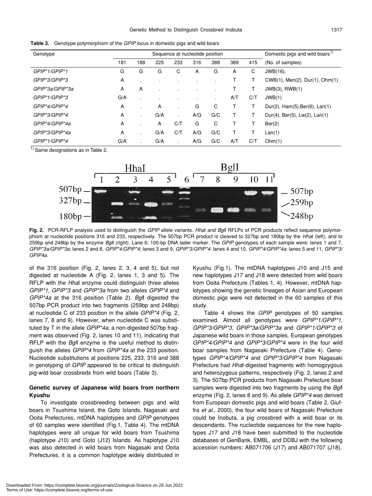| Genotype        |     |                | Sequence at nucleotide position | Domestic pigs and wild boars <sup>1)</sup> |     |     |     |     |                                |
|-----------------|-----|----------------|---------------------------------|--------------------------------------------|-----|-----|-----|-----|--------------------------------|
|                 | 181 | 188            | 225                             | 233                                        | 316 | 388 | 389 | 415 | (No. of samples)               |
| GPIP*1/GPIP*1   | G   | G              | G                               | С                                          | A   | G   | A   | С   | JWB(16),                       |
| GPIP*3/GPIP*3   | A   | $\blacksquare$ |                                 |                                            |     |     |     |     | CWB(1), Men(2), Dur(1), Ohm(1) |
| GPIP*3a/GPIP*3a | A   | Α              |                                 |                                            |     |     |     |     | JWB(3), RWB(1)                 |
| GPIP*1/GPIP*3   | G/A | ٠.             |                                 |                                            |     | ٠   | A/T | C/T | JWB(1)                         |
| GPIP*4/GPIP*4   | A   |                | A                               |                                            | G   | C   |     |     | Dur(2), Ham(5), Ber(6), Lan(1) |
| GPIP*3/GPIP*4   | A   | ÷              | G/A                             | $\blacksquare$                             | A/G | G/C |     |     | Dur(4), Ber(5), Lw(2), Lan(1)  |
| GPIP*4/GPIP*4a  | A   |                | A                               | C/T                                        | G   | С   |     |     | Ber(2)                         |
| GPIP*3/GPIP*4a  | A   | ٠              | G/A                             | C/T                                        | A/G | G/C |     |     | Lan(1)                         |
| GPIP*1/GPIP*4   | G/A |                | G/A                             |                                            | A/G | G/C | A/T | C/T | Ohm(1)                         |

**Table 3.** Genotype polymorphism of the *GPIP* locus in domestic pigs and wild boars

 $<sup>1</sup>$  Same designations as in Table 2.</sup>



**Fig. 2.** PCR-RFLP analysis used to distinguish the *GPIP* allele variants. *Hha*I and *Bgl*I RFLPs of PCR products reflect sequence polymorphism at nucleotide positions 316 and 233, respectively. The 507bp PCR product is cleaved to 327bp and 180bp by the *Hha*I (left), and to 259bp and 248bp by the enzyme *Bgl*I (right). Lane 6; 100-bp DNA lader marker. The *GPIP* genotypes of each sample were: lanes 1 and 7, *GPIP\*3a/GPIP\*3a*; lanes 2 and 8, *GPIP\*4/GPIP\*4*; lanes 3 and 9, *GPIP\*3/GPIP\*4*: lanes 4 and 10, *GPIP\*4/GPIP\*4a*; lanes 5 and 11, *GPIP\*3/ GPIP4a*.

of the 316 position (Fig. 2, lanes 2, 3, 4 and 5), but not digested at nucleotide A (Fig. 2, lanes 1, 3 and 5). The RFLP with the *Hha*I enzyme could distinguish three alleles *GPIP\*1, GPIP\*3* and *GPIP\*3a* from two alleles *GPIP\*4* and *GPIP\*4a* at the 316 position (Table 2). *Bgl*I digested the 507bp PCR product into two fragments (259bp and 248bp) at nucleotide C of 233 position in the allele *GPIP\*4* (Fig. 2, lanes 7, 8 and 9). However, when nucleotide C was substituted by T in the allele *GPIP\*4a*, a non-digested 507bp fragment was observed (Fig. 2, lanes 10 and 11), indicating that RFLP with the *Bgl*I enzyme is the useful method to distinguish the alleles *GPIP\*4* from *GPIP\*4a* at the 233 position. Nucleotide substitutions at positions 225, 233, 316 and 388 in genotyping of *GPIP* appeared to be critical to distinguish pig-wild boar crossbreds from wild boars (Table 3).

# **Genetic survey of Japanese wild boars from northern Kyushu**

To investigate crossbreeding between pigs and wild boars in Tsushima Island, the Goto Islands, Nagasaki and Ooita Prefectures, mtDNA haplotypes and *GPIP* genotypes of 60 samples were identified (Fig.1, Table 4). The mtDNA haplotypes were all unique for wild boars from Tsushima (haplotype J10) and Goto (J12) Islands. As haplotype J10 was also detected in wild boars from Nagasaki and Ooita Prefectures, it is a common haplotype widely distributed in Kyushu (Fig.1). The mtDNA haplotypes J10 and J15 and new haplotypes J17 and J18 were detected from wild boars from Ooita Prefecture (Tables 1, 4). However, mtDNA haplotypes showing the genetic lineages of Asian and European domestic pigs were not detected in the 60 samples of this study.

Table 4 shows the *GPIP* genotypes of 50 samples examined. Almost all genotypes were *GPIP\*1/GPIP\*1, GPIP\*3/GPIP\*3, GPIP\*3a/GPIP\*3a* and *GPIP\*1/GPIP\*3* of Japanese wild boars in those samples. European genotypes *GPIP\*4/GPIP\*4* and *GPIP\*3/GPIP\*4* were in the four wild boar samples from Nagasaki Prefecture (Table 4). Genotypes *GPIP\*4/GPIP\*4* and *GPIP\*3/GPIP\*4* from Nagasaki Prefecture had *Hha*I-digested fragments with homogzygous and heterozygous patterns, respectively (Fig. 2, lanes 2 and 3). The 507bp PCR products from Nagasaki Prefecture boar samples were digested into two fragments by using the *Bgl*I enzyme (Fig. 2, lanes 8 and 9). As allele *GPIP\*4* was derived from European domestic pigs and wild boars (Table 2, Giuffra *et al.*, 2000), the four wild boars of Nagasaki Prefecture could be Inobuta, a pig crossbred with a wild boar or its descendants. The nucleotide sequences for the new haplotypes J17 and J18 have been submitted to the nucleotide databases of GenBank, EMBL, and DDBJ with the following accession numbers: AB071706 (J17) and AB071707 (J18).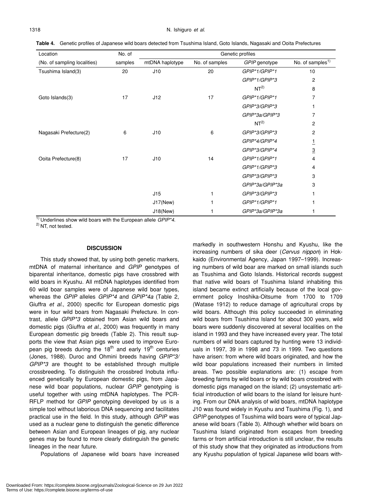**Table 4.** Genetic profiles of Japanese wild boars detected from Tsushima Island, Goto Islands, Nagasaki and Ooita Prefectures

| Location                     | No. of  |                 |                |                 |                              |  |
|------------------------------|---------|-----------------|----------------|-----------------|------------------------------|--|
| (No. of sampling localities) | samples | mtDNA haplotype | No. of samples | GPIP genotype   | No. of samples <sup>1)</sup> |  |
| Tsushima Island(3)           | 20      | J10             | 20             | GPIP*1/GPIP*1   | 10                           |  |
|                              |         |                 |                | GPIP*1/GPIP*3   | 2                            |  |
|                              |         |                 |                | NT <sup>2</sup> | 8                            |  |
| Goto Islands(3)              | 17      | J12             | 17             | GPIP*1/GPIP*1   | 7                            |  |
|                              |         |                 |                | GPIP*3/GPIP*3   |                              |  |
|                              |         |                 |                | GPIP*3a/GPIP*3  | 7                            |  |
|                              |         |                 |                | NT <sup>2</sup> | 2                            |  |
| Nagasaki Prefecture(2)       | 6       | J10             | 6              | GPIP*3/GPIP*3   | 2                            |  |
|                              |         |                 |                | GPIP*4/GPIP*4   | $\overline{1}$               |  |
|                              |         |                 |                | GPIP*3/GPIP*4   | $\overline{3}$               |  |
| Ooita Prefecture(8)          | 17      | J10             | 14             | GPIP*1/GPIP*1   | 4                            |  |
|                              |         |                 |                | GPIP*1/GPIP*3   | 4                            |  |
|                              |         |                 |                | GPIP*3/GPIP*3   | 3                            |  |
|                              |         |                 |                | GPIP*3a/GPIP*3a | 3                            |  |
|                              |         | J15             |                | GPIP*3/GPIP*3   |                              |  |
|                              |         | $J17$ (New)     |                | GPIP*1/GPIP*1   |                              |  |
|                              |         | J18(New)        |                | GPIP*3a/GPIP*3a |                              |  |

1) Underlines show wild boars with the European allele *GPIP\*4.*

2) NT, not tested.

## **DISCUSSION**

This study showed that, by using both genetic markers, mtDNA of maternal inheritance and *GPIP* genotypes of biparental inheritance, domestic pigs have crossbred with wild boars in Kyushu. All mtDNA haplotypes identified from 60 wild boar samples were of Japanese wild boar types, whereas the *GPIP* alleles *GPIP\*4* and *GPIP\*4a* (Table 2, Giuffra *et al*., 2000) specific for European domestic pigs were in four wild boars from Nagasaki Prefecture. In contrast, allele *GPIP\*3* obtained from Asian wild boars and domestic pigs (Giuffra *et al*., 2000) was frequently in many European domestic pig breeds (Table 2). This result supports the view that Asian pigs were used to improve European pig breeds during the 18<sup>th</sup> and early 19<sup>th</sup> centuries (Jones, 1988). Duroc and Ohmini breeds having *GPIP\*3/ GPIP\*3* are thought to be established through multiple crossbreeding. To distinguish the crossbred Inobuta influenced genetically by European domestic pigs, from Japanese wild boar populations, nuclear *GPIP* genotyping is useful together with using mtDNA haplotypes. The PCR-RFLP method for *GPIP* genotyping developed by us is a simple tool without laborious DNA sequencing and facilitates practical use in the field. In this study, although *GPIP* was used as a nuclear gene to distinguish the genetic difference between Asian and European lineages of pig, any nuclear genes may be found to more clearly distinguish the genetic lineages in the near future.

Populations of Japanese wild boars have increased

markedly in southwestern Honshu and Kyushu, like the increasing numbers of sika deer (*Cervus nippon*) in Hokkaido (Environmental Agency, Japan 1997–1999). Increasing numbers of wild boar are marked on small islands such as Tsushima and Goto Islands. Historical records suggest that native wild boars of Tsushima Island inhabiting this island became extinct artificially because of the local government policy Inoshika-Oitsume from 1700 to 1709 (Watase 1912) to reduce damage of agricultural crops by wild boars. Although this policy succeeded in eliminating wild boars from Tsushima Island for about 300 years, wild boars were suddenly discovered at several localities on the island in 1993 and they have increased every year. The total numbers of wild boars captured by hunting were 13 individuals in 1997, 39 in 1998 and 73 in 1999. Two questions have arisen: from where wild boars originated, and how the wild boar populations increased their numbers in limited areas. Two possible explanations are: (1) escape from breeding farms by wild boars or by wild boars crossbred with domestic pigs managed on the island; (2) unsystematic artificial introduction of wild boars to the island for leisure hunting. From our DNA analysis of wild boars, mtDNA haplotype J10 was found widely in Kyushu and Tsushima (Fig. 1), and *GPIP* genotypes of Tsushima wild boars were of typical Japanese wild boars (Table 3). Although whether wild boars on Tsushima Island originated from escapes from breeding farms or from artificial introduction is still unclear, the results of this study show that they originated as introductions from any Kyushu population of typical Japanese wild boars with